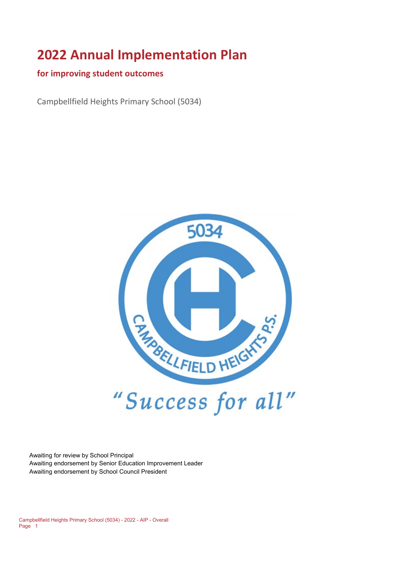# **2022 Annual Implementation Plan**

#### **for improving student outcomes**

Campbellfield Heights Primary School (5034)



Awaiting for review by School Principal Awaiting endorsement by Senior Education Improvement Leader Awaiting endorsement by School Council President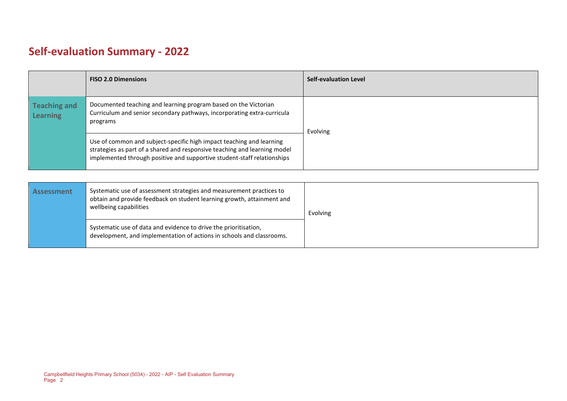# **Self-evaluation Summary - 2022**

|                                        | <b>FISO 2.0 Dimensions</b>                                                                                                                                                                                                   | <b>Self-evaluation Level</b> |
|----------------------------------------|------------------------------------------------------------------------------------------------------------------------------------------------------------------------------------------------------------------------------|------------------------------|
| <b>Teaching and</b><br><b>Learning</b> | Documented teaching and learning program based on the Victorian<br>Curriculum and senior secondary pathways, incorporating extra-curricula<br>programs                                                                       | Evolving                     |
|                                        | Use of common and subject-specific high impact teaching and learning<br>strategies as part of a shared and responsive teaching and learning model<br>implemented through positive and supportive student-staff relationships |                              |

| <b>Assessment</b> | Systematic use of assessment strategies and measurement practices to<br>obtain and provide feedback on student learning growth, attainment and<br>wellbeing capabilities | Evolving |
|-------------------|--------------------------------------------------------------------------------------------------------------------------------------------------------------------------|----------|
|                   | Systematic use of data and evidence to drive the prioritisation,<br>development, and implementation of actions in schools and classrooms.                                |          |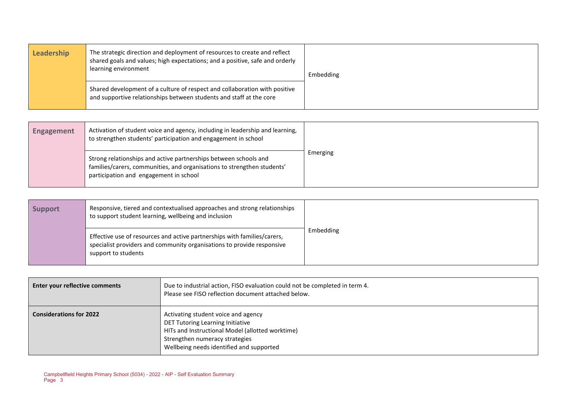| Leadership | The strategic direction and deployment of resources to create and reflect<br>shared goals and values; high expectations; and a positive, safe and orderly<br>learning environment | Embedding |
|------------|-----------------------------------------------------------------------------------------------------------------------------------------------------------------------------------|-----------|
|            | Shared development of a culture of respect and collaboration with positive<br>and supportive relationships between students and staff at the core                                 |           |

| <b>Engagement</b> | Activation of student voice and agency, including in leadership and learning,<br>to strengthen students' participation and engagement in school                                       |          |
|-------------------|---------------------------------------------------------------------------------------------------------------------------------------------------------------------------------------|----------|
|                   | Strong relationships and active partnerships between schools and<br>families/carers, communities, and organisations to strengthen students'<br>participation and engagement in school | Emerging |

| <b>Support</b> | Responsive, tiered and contextualised approaches and strong relationships<br>to support student learning, wellbeing and inclusion                                         |           |
|----------------|---------------------------------------------------------------------------------------------------------------------------------------------------------------------------|-----------|
|                | Effective use of resources and active partnerships with families/carers,<br>specialist providers and community organisations to provide responsive<br>support to students | Embedding |

| Enter your reflective comments | Due to industrial action, FISO evaluation could not be completed in term 4.<br>Please see FISO reflection document attached below.                                                                        |
|--------------------------------|-----------------------------------------------------------------------------------------------------------------------------------------------------------------------------------------------------------|
| <b>Considerations for 2022</b> | Activating student voice and agency<br>DET Tutoring Learning Initiative<br>HITs and Instructional Model (allotted worktime)<br>Strengthen numeracy strategies<br>Wellbeing needs identified and supported |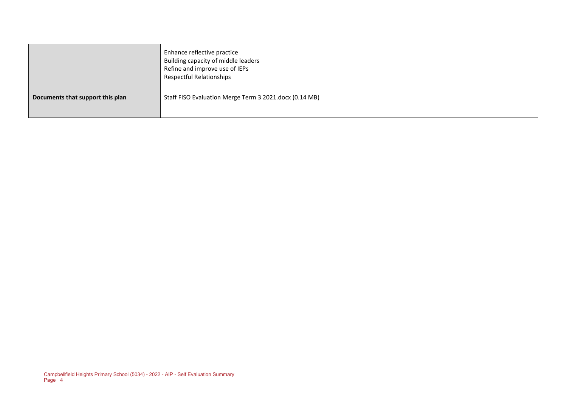|                                  | Enhance reflective practice<br>Building capacity of middle leaders<br>Refine and improve use of IEPs<br>Respectful Relationships |
|----------------------------------|----------------------------------------------------------------------------------------------------------------------------------|
| Documents that support this plan | Staff FISO Evaluation Merge Term 3 2021.docx (0.14 MB)                                                                           |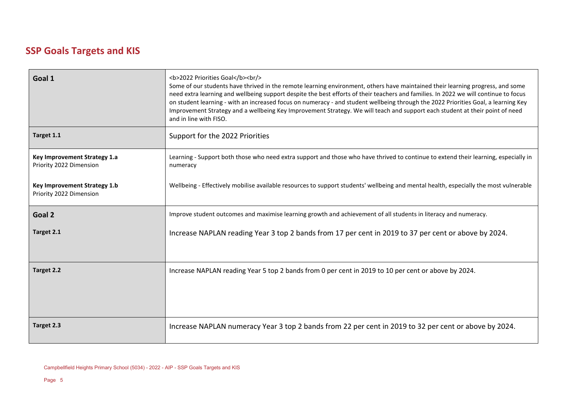# **SSP Goals Targets and KIS**

| Goal 1                                                  | <b>2022 Priorities Goal</b><br><br><br>Some of our students have thrived in the remote learning environment, others have maintained their learning progress, and some<br>need extra learning and wellbeing support despite the best efforts of their teachers and families. In 2022 we will continue to focus<br>on student learning - with an increased focus on numeracy - and student wellbeing through the 2022 Priorities Goal, a learning Key<br>Improvement Strategy and a wellbeing Key Improvement Strategy. We will teach and support each student at their point of need<br>and in line with FISO. |
|---------------------------------------------------------|---------------------------------------------------------------------------------------------------------------------------------------------------------------------------------------------------------------------------------------------------------------------------------------------------------------------------------------------------------------------------------------------------------------------------------------------------------------------------------------------------------------------------------------------------------------------------------------------------------------|
| Target 1.1                                              | Support for the 2022 Priorities                                                                                                                                                                                                                                                                                                                                                                                                                                                                                                                                                                               |
| Key Improvement Strategy 1.a<br>Priority 2022 Dimension | Learning - Support both those who need extra support and those who have thrived to continue to extend their learning, especially in<br>numeracy                                                                                                                                                                                                                                                                                                                                                                                                                                                               |
| Key Improvement Strategy 1.b<br>Priority 2022 Dimension | Wellbeing - Effectively mobilise available resources to support students' wellbeing and mental health, especially the most vulnerable                                                                                                                                                                                                                                                                                                                                                                                                                                                                         |
| Goal 2                                                  | Improve student outcomes and maximise learning growth and achievement of all students in literacy and numeracy.                                                                                                                                                                                                                                                                                                                                                                                                                                                                                               |
| Target 2.1                                              | Increase NAPLAN reading Year 3 top 2 bands from 17 per cent in 2019 to 37 per cent or above by 2024.                                                                                                                                                                                                                                                                                                                                                                                                                                                                                                          |
| Target 2.2                                              | Increase NAPLAN reading Year 5 top 2 bands from 0 per cent in 2019 to 10 per cent or above by 2024.                                                                                                                                                                                                                                                                                                                                                                                                                                                                                                           |
| Target 2.3                                              | Increase NAPLAN numeracy Year 3 top 2 bands from 22 per cent in 2019 to 32 per cent or above by 2024.                                                                                                                                                                                                                                                                                                                                                                                                                                                                                                         |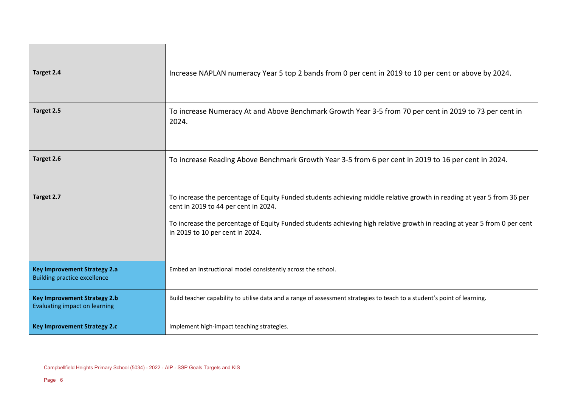| Target 2.4                                                                  | Increase NAPLAN numeracy Year 5 top 2 bands from 0 per cent in 2019 to 10 per cent or above by 2024.                                                                                                                                                                                                                          |
|-----------------------------------------------------------------------------|-------------------------------------------------------------------------------------------------------------------------------------------------------------------------------------------------------------------------------------------------------------------------------------------------------------------------------|
| Target 2.5                                                                  | To increase Numeracy At and Above Benchmark Growth Year 3-5 from 70 per cent in 2019 to 73 per cent in<br>2024.                                                                                                                                                                                                               |
| Target 2.6                                                                  | To increase Reading Above Benchmark Growth Year 3-5 from 6 per cent in 2019 to 16 per cent in 2024.                                                                                                                                                                                                                           |
| Target 2.7                                                                  | To increase the percentage of Equity Funded students achieving middle relative growth in reading at year 5 from 36 per<br>cent in 2019 to 44 per cent in 2024.<br>To increase the percentage of Equity Funded students achieving high relative growth in reading at year 5 from 0 per cent<br>in 2019 to 10 per cent in 2024. |
| <b>Key Improvement Strategy 2.a</b><br><b>Building practice excellence</b>  | Embed an Instructional model consistently across the school.                                                                                                                                                                                                                                                                  |
| <b>Key Improvement Strategy 2.b</b><br><b>Evaluating impact on learning</b> | Build teacher capability to utilise data and a range of assessment strategies to teach to a student's point of learning.                                                                                                                                                                                                      |
| <b>Key Improvement Strategy 2.c</b>                                         | Implement high-impact teaching strategies.                                                                                                                                                                                                                                                                                    |

÷.

╼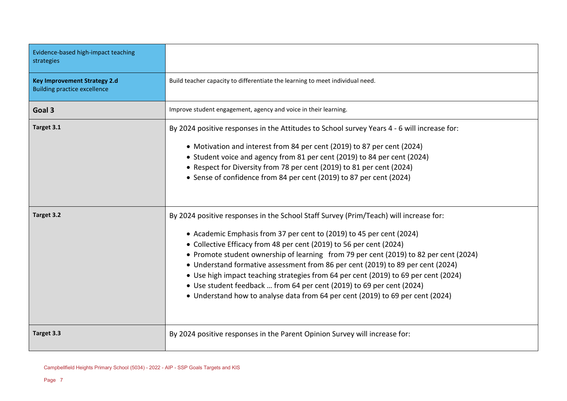| Evidence-based high-impact teaching<br>strategies                          |                                                                                             |
|----------------------------------------------------------------------------|---------------------------------------------------------------------------------------------|
| <b>Key Improvement Strategy 2.d</b><br><b>Building practice excellence</b> | Build teacher capacity to differentiate the learning to meet individual need.               |
| Goal 3                                                                     | Improve student engagement, agency and voice in their learning.                             |
| Target 3.1                                                                 | By 2024 positive responses in the Attitudes to School survey Years 4 - 6 will increase for: |
|                                                                            | • Motivation and interest from 84 per cent (2019) to 87 per cent (2024)                     |
|                                                                            | • Student voice and agency from 81 per cent (2019) to 84 per cent (2024)                    |
|                                                                            | • Respect for Diversity from 78 per cent (2019) to 81 per cent (2024)                       |
|                                                                            | • Sense of confidence from 84 per cent (2019) to 87 per cent (2024)                         |
| Target 3.2                                                                 | By 2024 positive responses in the School Staff Survey (Prim/Teach) will increase for:       |
|                                                                            | • Academic Emphasis from 37 per cent to (2019) to 45 per cent (2024)                        |
|                                                                            | • Collective Efficacy from 48 per cent (2019) to 56 per cent (2024)                         |
|                                                                            | • Promote student ownership of learning from 79 per cent (2019) to 82 per cent (2024)       |
|                                                                            | • Understand formative assessment from 86 per cent (2019) to 89 per cent (2024)             |
|                                                                            | • Use high impact teaching strategies from 64 per cent (2019) to 69 per cent (2024)         |
|                                                                            | • Use student feedback  from 64 per cent (2019) to 69 per cent (2024)                       |
|                                                                            | • Understand how to analyse data from 64 per cent (2019) to 69 per cent (2024)              |
| Target 3.3                                                                 | By 2024 positive responses in the Parent Opinion Survey will increase for:                  |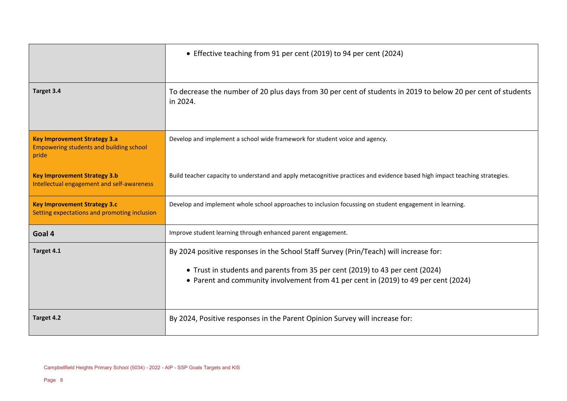|                                                                                                | • Effective teaching from 91 per cent (2019) to 94 per cent (2024)                                                                                                                                                                                            |
|------------------------------------------------------------------------------------------------|---------------------------------------------------------------------------------------------------------------------------------------------------------------------------------------------------------------------------------------------------------------|
| Target 3.4                                                                                     | To decrease the number of 20 plus days from 30 per cent of students in 2019 to below 20 per cent of students<br>in 2024.                                                                                                                                      |
| <b>Key Improvement Strategy 3.a</b><br><b>Empowering students and building school</b><br>pride | Develop and implement a school wide framework for student voice and agency.                                                                                                                                                                                   |
| <b>Key Improvement Strategy 3.b</b><br>Intellectual engagement and self-awareness              | Build teacher capacity to understand and apply metacognitive practices and evidence based high impact teaching strategies.                                                                                                                                    |
| <b>Key Improvement Strategy 3.c</b><br>Setting expectations and promoting inclusion            | Develop and implement whole school approaches to inclusion focussing on student engagement in learning.                                                                                                                                                       |
| Goal 4                                                                                         | Improve student learning through enhanced parent engagement.                                                                                                                                                                                                  |
| Target 4.1                                                                                     | By 2024 positive responses in the School Staff Survey (Prin/Teach) will increase for:<br>• Trust in students and parents from 35 per cent (2019) to 43 per cent (2024)<br>• Parent and community involvement from 41 per cent in (2019) to 49 per cent (2024) |
| Target 4.2                                                                                     | By 2024, Positive responses in the Parent Opinion Survey will increase for:                                                                                                                                                                                   |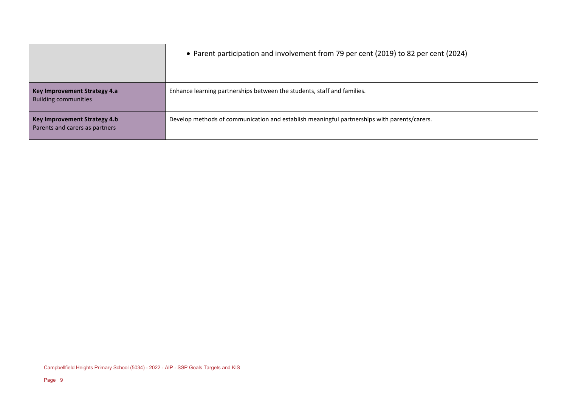|                                                                       | • Parent participation and involvement from 79 per cent (2019) to 82 per cent (2024)        |
|-----------------------------------------------------------------------|---------------------------------------------------------------------------------------------|
| <b>Key Improvement Strategy 4.a</b><br><b>Building communities</b>    | Enhance learning partnerships between the students, staff and families.                     |
| <b>Key Improvement Strategy 4.b</b><br>Parents and carers as partners | Develop methods of communication and establish meaningful partnerships with parents/carers. |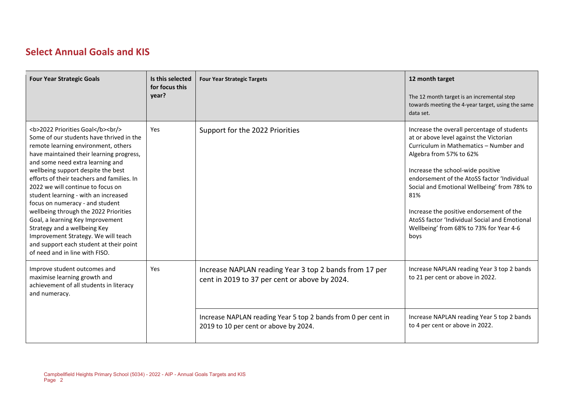### **Select Annual Goals and KIS**

| <b>Four Year Strategic Goals</b>                                                                                                                                                                           | Is this selected<br>for focus this<br>year? | <b>Four Year Strategic Targets</b>                                                                      | 12 month target<br>The 12 month target is an incremental step<br>towards meeting the 4-year target, using the same<br>data set.                                                                                                                                                                                                                                                                                                                       |
|------------------------------------------------------------------------------------------------------------------------------------------------------------------------------------------------------------|---------------------------------------------|---------------------------------------------------------------------------------------------------------|-------------------------------------------------------------------------------------------------------------------------------------------------------------------------------------------------------------------------------------------------------------------------------------------------------------------------------------------------------------------------------------------------------------------------------------------------------|
| <b>2022 Priorities Goal</b><br><br><br>Some of our students have thrived in the<br>remote learning environment, others<br>have maintained their learning progress,<br>and some need extra learning and<br> | Yes                                         | Support for the 2022 Priorities                                                                         | Increase the overall percentage of students<br>at or above level against the Victorian<br>Curriculum in Mathematics - Number and<br>Algebra from 57% to 62%<br>Increase the school-wide positive<br>endorsement of the AtoSS factor 'Individual<br>Social and Emotional Wellbeing' from 78% to<br>81%<br>Increase the positive endorsement of the<br>AtoSS factor 'Individual Social and Emotional<br>Wellbeing' from 68% to 73% for Year 4-6<br>boys |
| Improve student outcomes and<br>maximise learning growth and<br>achievement of all students in literacy<br>and numeracy.                                                                                   | Yes                                         | Increase NAPLAN reading Year 3 top 2 bands from 17 per<br>cent in 2019 to 37 per cent or above by 2024. | Increase NAPLAN reading Year 3 top 2 bands<br>to 21 per cent or above in 2022.                                                                                                                                                                                                                                                                                                                                                                        |
|                                                                                                                                                                                                            |                                             | Increase NAPLAN reading Year 5 top 2 bands from 0 per cent in<br>2019 to 10 per cent or above by 2024.  | Increase NAPLAN reading Year 5 top 2 bands<br>to 4 per cent or above in 2022.                                                                                                                                                                                                                                                                                                                                                                         |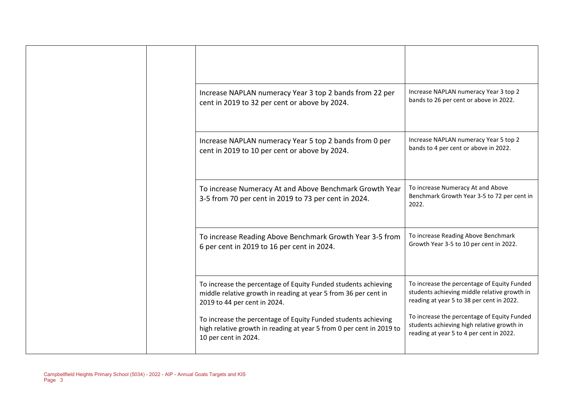|  | Increase NAPLAN numeracy Year 3 top 2 bands from 22 per<br>cent in 2019 to 32 per cent or above by 2024.                                                          | Increase NAPLAN numeracy Year 3 top 2<br>bands to 26 per cent or above in 2022.                                                          |
|--|-------------------------------------------------------------------------------------------------------------------------------------------------------------------|------------------------------------------------------------------------------------------------------------------------------------------|
|  | Increase NAPLAN numeracy Year 5 top 2 bands from 0 per<br>cent in 2019 to 10 per cent or above by 2024.                                                           | Increase NAPLAN numeracy Year 5 top 2<br>bands to 4 per cent or above in 2022.                                                           |
|  | To increase Numeracy At and Above Benchmark Growth Year<br>3-5 from 70 per cent in 2019 to 73 per cent in 2024.                                                   | To increase Numeracy At and Above<br>Benchmark Growth Year 3-5 to 72 per cent in<br>2022.                                                |
|  | To increase Reading Above Benchmark Growth Year 3-5 from<br>6 per cent in 2019 to 16 per cent in 2024.                                                            | To increase Reading Above Benchmark<br>Growth Year 3-5 to 10 per cent in 2022.                                                           |
|  | To increase the percentage of Equity Funded students achieving<br>middle relative growth in reading at year 5 from 36 per cent in<br>2019 to 44 per cent in 2024. | To increase the percentage of Equity Funded<br>students achieving middle relative growth in<br>reading at year 5 to 38 per cent in 2022. |
|  | To increase the percentage of Equity Funded students achieving<br>high relative growth in reading at year 5 from 0 per cent in 2019 to<br>10 per cent in 2024.    | To increase the percentage of Equity Funded<br>students achieving high relative growth in<br>reading at year 5 to 4 per cent in 2022.    |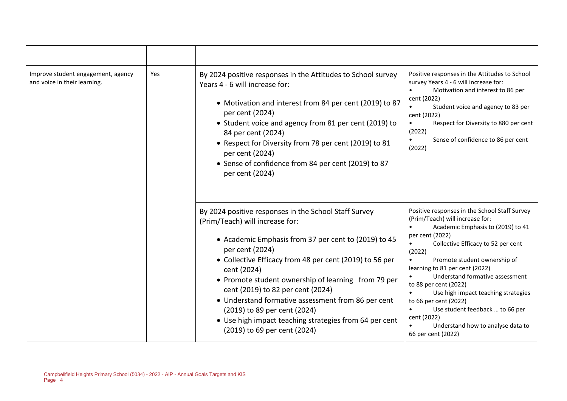| Improve student engagement, agency<br>and voice in their learning. | Yes | By 2024 positive responses in the Attitudes to School survey<br>Years 4 - 6 will increase for:<br>• Motivation and interest from 84 per cent (2019) to 87<br>per cent (2024)<br>• Student voice and agency from 81 per cent (2019) to<br>84 per cent (2024)<br>• Respect for Diversity from 78 per cent (2019) to 81<br>per cent (2024)<br>• Sense of confidence from 84 per cent (2019) to 87<br>per cent (2024)                                                                                                         | Positive responses in the Attitudes to School<br>survey Years 4 - 6 will increase for:<br>Motivation and interest to 86 per<br>cent (2022)<br>Student voice and agency to 83 per<br>cent (2022)<br>Respect for Diversity to 880 per cent<br>$\bullet$<br>(2022)<br>Sense of confidence to 86 per cent<br>(2022)                                                                                                                                                                                     |
|--------------------------------------------------------------------|-----|---------------------------------------------------------------------------------------------------------------------------------------------------------------------------------------------------------------------------------------------------------------------------------------------------------------------------------------------------------------------------------------------------------------------------------------------------------------------------------------------------------------------------|-----------------------------------------------------------------------------------------------------------------------------------------------------------------------------------------------------------------------------------------------------------------------------------------------------------------------------------------------------------------------------------------------------------------------------------------------------------------------------------------------------|
|                                                                    |     | By 2024 positive responses in the School Staff Survey<br>(Prim/Teach) will increase for:<br>• Academic Emphasis from 37 per cent to (2019) to 45<br>per cent (2024)<br>• Collective Efficacy from 48 per cent (2019) to 56 per<br>cent (2024)<br>• Promote student ownership of learning from 79 per<br>cent (2019) to 82 per cent (2024)<br>• Understand formative assessment from 86 per cent<br>(2019) to 89 per cent (2024)<br>• Use high impact teaching strategies from 64 per cent<br>(2019) to 69 per cent (2024) | Positive responses in the School Staff Survey<br>(Prim/Teach) will increase for:<br>Academic Emphasis to (2019) to 41<br>per cent (2022)<br>Collective Efficacy to 52 per cent<br>(2022)<br>Promote student ownership of<br>learning to 81 per cent (2022)<br>Understand formative assessment<br>to 88 per cent (2022)<br>Use high impact teaching strategies<br>to 66 per cent (2022)<br>Use student feedback  to 66 per<br>cent (2022)<br>Understand how to analyse data to<br>66 per cent (2022) |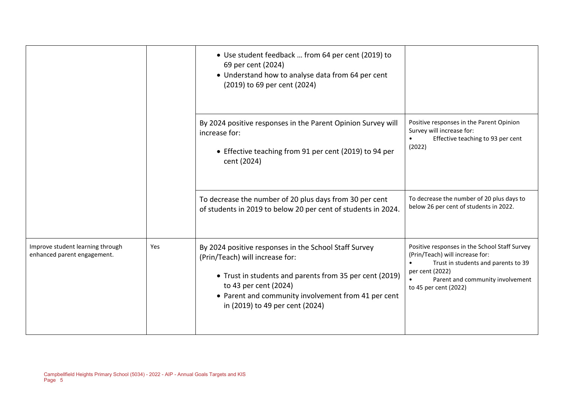|                                                                 |     | • Use student feedback  from 64 per cent (2019) to<br>69 per cent (2024)<br>• Understand how to analyse data from 64 per cent<br>(2019) to 69 per cent (2024)                                                                                                          |                                                                                                                                                                                                         |
|-----------------------------------------------------------------|-----|------------------------------------------------------------------------------------------------------------------------------------------------------------------------------------------------------------------------------------------------------------------------|---------------------------------------------------------------------------------------------------------------------------------------------------------------------------------------------------------|
|                                                                 |     | By 2024 positive responses in the Parent Opinion Survey will<br>increase for:<br>• Effective teaching from 91 per cent (2019) to 94 per<br>cent (2024)                                                                                                                 | Positive responses in the Parent Opinion<br>Survey will increase for:<br>Effective teaching to 93 per cent<br>$\bullet$<br>(2022)                                                                       |
|                                                                 |     | To decrease the number of 20 plus days from 30 per cent<br>of students in 2019 to below 20 per cent of students in 2024.                                                                                                                                               | To decrease the number of 20 plus days to<br>below 26 per cent of students in 2022.                                                                                                                     |
| Improve student learning through<br>enhanced parent engagement. | Yes | By 2024 positive responses in the School Staff Survey<br>(Prin/Teach) will increase for:<br>• Trust in students and parents from 35 per cent (2019)<br>to 43 per cent (2024)<br>• Parent and community involvement from 41 per cent<br>in (2019) to 49 per cent (2024) | Positive responses in the School Staff Survey<br>(Prin/Teach) will increase for:<br>Trust in students and parents to 39<br>per cent (2022)<br>Parent and community involvement<br>to 45 per cent (2022) |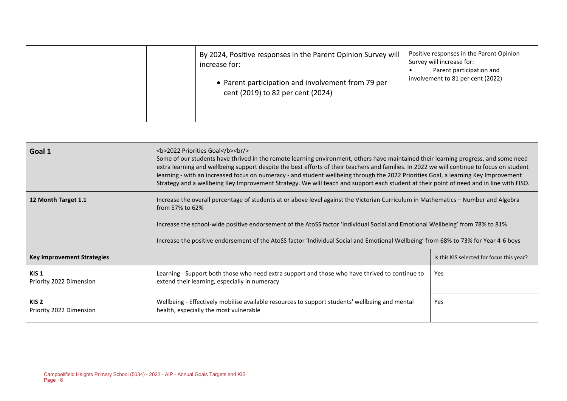|  | By 2024, Positive responses in the Parent Opinion Survey will<br>increase for:<br>• Parent participation and involvement from 79 per<br>cent (2019) to 82 per cent (2024) | Positive responses in the Parent Opinion<br>Survey will increase for:<br>Parent participation and<br>involvement to 81 per cent (2022) |
|--|---------------------------------------------------------------------------------------------------------------------------------------------------------------------------|----------------------------------------------------------------------------------------------------------------------------------------|
|--|---------------------------------------------------------------------------------------------------------------------------------------------------------------------------|----------------------------------------------------------------------------------------------------------------------------------------|

| Goal 1                                      | <b>2022 Priorities Goal</b><br>Some of our students have thrived in the remote learning environment, others have maintained their learning progress, and some need<br>extra learning and wellbeing support despite the best efforts of their teachers and families. In 2022 we will continue to focus on student<br>learning - with an increased focus on numeracy - and student wellbeing through the 2022 Priorities Goal, a learning Key Improvement<br>Strategy and a wellbeing Key Improvement Strategy. We will teach and support each student at their point of need and in line with FISO. |                                           |  |  |  |
|---------------------------------------------|----------------------------------------------------------------------------------------------------------------------------------------------------------------------------------------------------------------------------------------------------------------------------------------------------------------------------------------------------------------------------------------------------------------------------------------------------------------------------------------------------------------------------------------------------------------------------------------------------|-------------------------------------------|--|--|--|
| 12 Month Target 1.1                         | Increase the overall percentage of students at or above level against the Victorian Curriculum in Mathematics – Number and Algebra<br>from 57% to 62%                                                                                                                                                                                                                                                                                                                                                                                                                                              |                                           |  |  |  |
|                                             | Increase the school-wide positive endorsement of the AtoSS factor 'Individual Social and Emotional Wellbeing' from 78% to 81%<br>Increase the positive endorsement of the AtoSS factor 'Individual Social and Emotional Wellbeing' from 68% to 73% for Year 4-6 boys                                                                                                                                                                                                                                                                                                                               |                                           |  |  |  |
|                                             |                                                                                                                                                                                                                                                                                                                                                                                                                                                                                                                                                                                                    |                                           |  |  |  |
| <b>Key Improvement Strategies</b>           |                                                                                                                                                                                                                                                                                                                                                                                                                                                                                                                                                                                                    | Is this KIS selected for focus this year? |  |  |  |
| KIS <sub>1</sub><br>Priority 2022 Dimension | Learning - Support both those who need extra support and those who have thrived to continue to<br>extend their learning, especially in numeracy                                                                                                                                                                                                                                                                                                                                                                                                                                                    | Yes                                       |  |  |  |
| KIS <sub>2</sub><br>Priority 2022 Dimension | Wellbeing - Effectively mobilise available resources to support students' wellbeing and mental<br>Yes<br>health, especially the most vulnerable                                                                                                                                                                                                                                                                                                                                                                                                                                                    |                                           |  |  |  |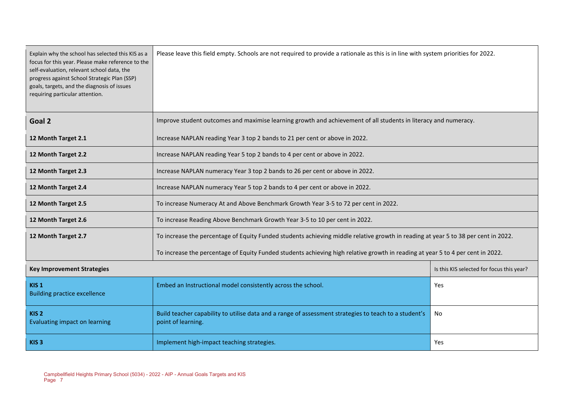| Explain why the school has selected this KIS as a<br>focus for this year. Please make reference to the<br>self-evaluation, relevant school data, the<br>progress against School Strategic Plan (SSP)<br>goals, targets, and the diagnosis of issues<br>requiring particular attention. | Please leave this field empty. Schools are not required to provide a rationale as this is in line with system priorities for 2022. |                                           |  |  |  |
|----------------------------------------------------------------------------------------------------------------------------------------------------------------------------------------------------------------------------------------------------------------------------------------|------------------------------------------------------------------------------------------------------------------------------------|-------------------------------------------|--|--|--|
| Goal 2                                                                                                                                                                                                                                                                                 | Improve student outcomes and maximise learning growth and achievement of all students in literacy and numeracy.                    |                                           |  |  |  |
| 12 Month Target 2.1                                                                                                                                                                                                                                                                    | Increase NAPLAN reading Year 3 top 2 bands to 21 per cent or above in 2022.                                                        |                                           |  |  |  |
| 12 Month Target 2.2                                                                                                                                                                                                                                                                    | Increase NAPLAN reading Year 5 top 2 bands to 4 per cent or above in 2022.                                                         |                                           |  |  |  |
| 12 Month Target 2.3                                                                                                                                                                                                                                                                    | Increase NAPLAN numeracy Year 3 top 2 bands to 26 per cent or above in 2022.                                                       |                                           |  |  |  |
| 12 Month Target 2.4                                                                                                                                                                                                                                                                    | Increase NAPLAN numeracy Year 5 top 2 bands to 4 per cent or above in 2022.                                                        |                                           |  |  |  |
| 12 Month Target 2.5                                                                                                                                                                                                                                                                    | To increase Numeracy At and Above Benchmark Growth Year 3-5 to 72 per cent in 2022.                                                |                                           |  |  |  |
| 12 Month Target 2.6                                                                                                                                                                                                                                                                    | To increase Reading Above Benchmark Growth Year 3-5 to 10 per cent in 2022.                                                        |                                           |  |  |  |
| 12 Month Target 2.7                                                                                                                                                                                                                                                                    | To increase the percentage of Equity Funded students achieving middle relative growth in reading at year 5 to 38 per cent in 2022. |                                           |  |  |  |
|                                                                                                                                                                                                                                                                                        | To increase the percentage of Equity Funded students achieving high relative growth in reading at year 5 to 4 per cent in 2022.    |                                           |  |  |  |
| <b>Key Improvement Strategies</b>                                                                                                                                                                                                                                                      |                                                                                                                                    | Is this KIS selected for focus this year? |  |  |  |
| KIS <sub>1</sub><br><b>Building practice excellence</b>                                                                                                                                                                                                                                | Embed an Instructional model consistently across the school.<br>Yes                                                                |                                           |  |  |  |
| KIS <sub>2</sub><br>Evaluating impact on learning                                                                                                                                                                                                                                      | Build teacher capability to utilise data and a range of assessment strategies to teach to a student's<br>No<br>point of learning.  |                                           |  |  |  |
| KIS <sub>3</sub>                                                                                                                                                                                                                                                                       | Implement high-impact teaching strategies.<br>Yes                                                                                  |                                           |  |  |  |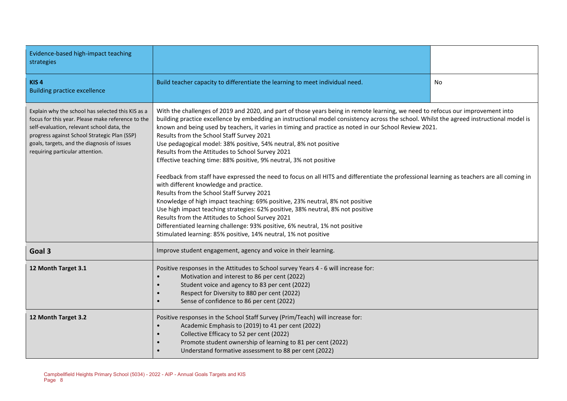| Evidence-based high-impact teaching<br>strategies                                                                                                                                                                                                                                      |                                                                                                                                                                                                                                                                                                                                                                                                                                                                                                                                                                                                                                                                                                                                                                                                                                                                                                                                                                                                                                                                                                                                                                                                                                                   |  |  |  |
|----------------------------------------------------------------------------------------------------------------------------------------------------------------------------------------------------------------------------------------------------------------------------------------|---------------------------------------------------------------------------------------------------------------------------------------------------------------------------------------------------------------------------------------------------------------------------------------------------------------------------------------------------------------------------------------------------------------------------------------------------------------------------------------------------------------------------------------------------------------------------------------------------------------------------------------------------------------------------------------------------------------------------------------------------------------------------------------------------------------------------------------------------------------------------------------------------------------------------------------------------------------------------------------------------------------------------------------------------------------------------------------------------------------------------------------------------------------------------------------------------------------------------------------------------|--|--|--|
| KIS <sub>4</sub><br><b>Building practice excellence</b>                                                                                                                                                                                                                                | Build teacher capacity to differentiate the learning to meet individual need.<br>No                                                                                                                                                                                                                                                                                                                                                                                                                                                                                                                                                                                                                                                                                                                                                                                                                                                                                                                                                                                                                                                                                                                                                               |  |  |  |
| Explain why the school has selected this KIS as a<br>focus for this year. Please make reference to the<br>self-evaluation, relevant school data, the<br>progress against School Strategic Plan (SSP)<br>goals, targets, and the diagnosis of issues<br>requiring particular attention. | With the challenges of 2019 and 2020, and part of those years being in remote learning, we need to refocus our improvement into<br>building practice excellence by embedding an instructional model consistency across the school. Whilst the agreed instructional model is<br>known and being used by teachers, it varies in timing and practice as noted in our School Review 2021.<br>Results from the School Staff Survey 2021<br>Use pedagogical model: 38% positive, 54% neutral, 8% not positive<br>Results from the Attitudes to School Survey 2021<br>Effective teaching time: 88% positive, 9% neutral, 3% not positive<br>Feedback from staff have expressed the need to focus on all HITS and differentiate the professional learning as teachers are all coming in<br>with different knowledge and practice.<br>Results from the School Staff Survey 2021<br>Knowledge of high impact teaching: 69% positive, 23% neutral, 8% not positive<br>Use high impact teaching strategies: 62% positive, 38% neutral, 8% not positive<br>Results from the Attitudes to School Survey 2021<br>Differentiated learning challenge: 93% positive, 6% neutral, 1% not positive<br>Stimulated learning: 85% positive, 14% neutral, 1% not positive |  |  |  |
| Goal 3                                                                                                                                                                                                                                                                                 | Improve student engagement, agency and voice in their learning.                                                                                                                                                                                                                                                                                                                                                                                                                                                                                                                                                                                                                                                                                                                                                                                                                                                                                                                                                                                                                                                                                                                                                                                   |  |  |  |
| 12 Month Target 3.1                                                                                                                                                                                                                                                                    | Positive responses in the Attitudes to School survey Years 4 - 6 will increase for:<br>Motivation and interest to 86 per cent (2022)<br>$\bullet$<br>Student voice and agency to 83 per cent (2022)<br>$\bullet$<br>Respect for Diversity to 880 per cent (2022)<br>$\bullet$<br>Sense of confidence to 86 per cent (2022)<br>$\bullet$                                                                                                                                                                                                                                                                                                                                                                                                                                                                                                                                                                                                                                                                                                                                                                                                                                                                                                           |  |  |  |
| 12 Month Target 3.2                                                                                                                                                                                                                                                                    | Positive responses in the School Staff Survey (Prim/Teach) will increase for:<br>Academic Emphasis to (2019) to 41 per cent (2022)<br>Collective Efficacy to 52 per cent (2022)<br>Promote student ownership of learning to 81 per cent (2022)<br>Understand formative assessment to 88 per cent (2022)                                                                                                                                                                                                                                                                                                                                                                                                                                                                                                                                                                                                                                                                                                                                                                                                                                                                                                                                           |  |  |  |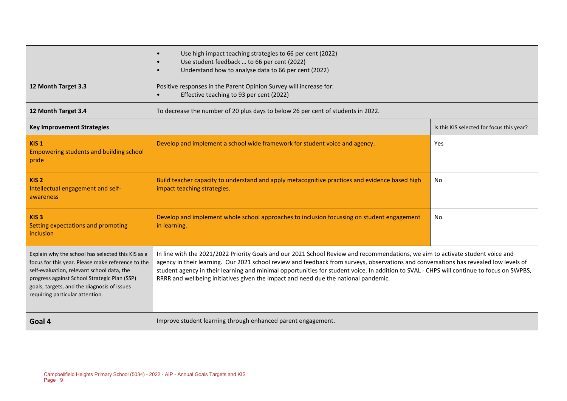| 12 Month Target 3.3                                                                                                                                                                                                                                                                    | Use high impact teaching strategies to 66 per cent (2022)<br>$\bullet$<br>Use student feedback  to 66 per cent (2022)<br>Understand how to analyse data to 66 per cent (2022)<br>Positive responses in the Parent Opinion Survey will increase for:                                                                                                                                                                                                                                                         |                                           |  |  |
|----------------------------------------------------------------------------------------------------------------------------------------------------------------------------------------------------------------------------------------------------------------------------------------|-------------------------------------------------------------------------------------------------------------------------------------------------------------------------------------------------------------------------------------------------------------------------------------------------------------------------------------------------------------------------------------------------------------------------------------------------------------------------------------------------------------|-------------------------------------------|--|--|
|                                                                                                                                                                                                                                                                                        | Effective teaching to 93 per cent (2022)                                                                                                                                                                                                                                                                                                                                                                                                                                                                    |                                           |  |  |
| 12 Month Target 3.4                                                                                                                                                                                                                                                                    | To decrease the number of 20 plus days to below 26 per cent of students in 2022.                                                                                                                                                                                                                                                                                                                                                                                                                            |                                           |  |  |
| <b>Key Improvement Strategies</b>                                                                                                                                                                                                                                                      |                                                                                                                                                                                                                                                                                                                                                                                                                                                                                                             | Is this KIS selected for focus this year? |  |  |
| KIS <sub>1</sub><br>Empowering students and building school<br>pride                                                                                                                                                                                                                   | Develop and implement a school wide framework for student voice and agency.                                                                                                                                                                                                                                                                                                                                                                                                                                 | Yes                                       |  |  |
| KIS <sub>2</sub><br>Intellectual engagement and self-<br>awareness                                                                                                                                                                                                                     | Build teacher capacity to understand and apply metacognitive practices and evidence based high<br>impact teaching strategies.                                                                                                                                                                                                                                                                                                                                                                               | No                                        |  |  |
| KIS <sub>3</sub><br>Setting expectations and promoting<br><i>inclusion</i>                                                                                                                                                                                                             | Develop and implement whole school approaches to inclusion focussing on student engagement<br>No<br>in learning.                                                                                                                                                                                                                                                                                                                                                                                            |                                           |  |  |
| Explain why the school has selected this KIS as a<br>focus for this year. Please make reference to the<br>self-evaluation, relevant school data, the<br>progress against School Strategic Plan (SSP)<br>goals, targets, and the diagnosis of issues<br>requiring particular attention. | In line with the 2021/2022 Priority Goals and our 2021 School Review and recommendations, we aim to activate student voice and<br>agency in their learning. Our 2021 school review and feedback from surveys, observations and conversations has revealed low levels of<br>student agency in their learning and minimal opportunities for student voice. In addition to SVAL - CHPS will continue to focus on SWPBS,<br>RRRR and wellbeing initiatives given the impact and need due the national pandemic. |                                           |  |  |
| Goal 4                                                                                                                                                                                                                                                                                 | Improve student learning through enhanced parent engagement.                                                                                                                                                                                                                                                                                                                                                                                                                                                |                                           |  |  |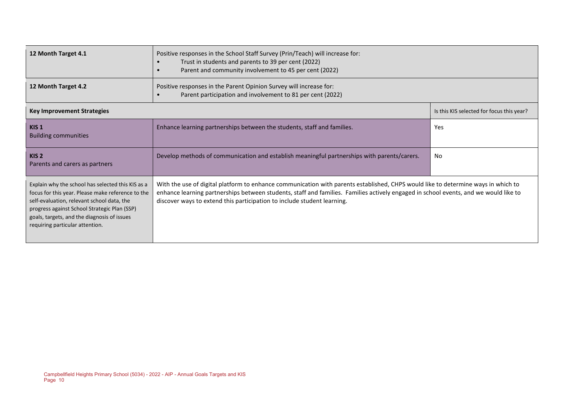| 12 Month Target 4.1                                                                                                                                                                                                                                                                    | Positive responses in the School Staff Survey (Prin/Teach) will increase for:<br>Trust in students and parents to 39 per cent (2022)<br>Parent and community involvement to 45 per cent (2022)                                                                                                                                                       |                                           |  |
|----------------------------------------------------------------------------------------------------------------------------------------------------------------------------------------------------------------------------------------------------------------------------------------|------------------------------------------------------------------------------------------------------------------------------------------------------------------------------------------------------------------------------------------------------------------------------------------------------------------------------------------------------|-------------------------------------------|--|
| 12 Month Target 4.2                                                                                                                                                                                                                                                                    | Positive responses in the Parent Opinion Survey will increase for:<br>Parent participation and involvement to 81 per cent (2022)                                                                                                                                                                                                                     |                                           |  |
| <b>Key Improvement Strategies</b>                                                                                                                                                                                                                                                      |                                                                                                                                                                                                                                                                                                                                                      | Is this KIS selected for focus this year? |  |
| KIS <sub>1</sub><br><b>Building communities</b>                                                                                                                                                                                                                                        | Enhance learning partnerships between the students, staff and families.                                                                                                                                                                                                                                                                              | Yes                                       |  |
| KIS <sub>2</sub><br>Parents and carers as partners                                                                                                                                                                                                                                     | Develop methods of communication and establish meaningful partnerships with parents/carers.                                                                                                                                                                                                                                                          | No                                        |  |
| Explain why the school has selected this KIS as a<br>focus for this year. Please make reference to the<br>self-evaluation, relevant school data, the<br>progress against School Strategic Plan (SSP)<br>goals, targets, and the diagnosis of issues<br>requiring particular attention. | With the use of digital platform to enhance communication with parents established, CHPS would like to determine ways in which to<br>enhance learning partnerships between students, staff and families. Families actively engaged in school events, and we would like to<br>discover ways to extend this participation to include student learning. |                                           |  |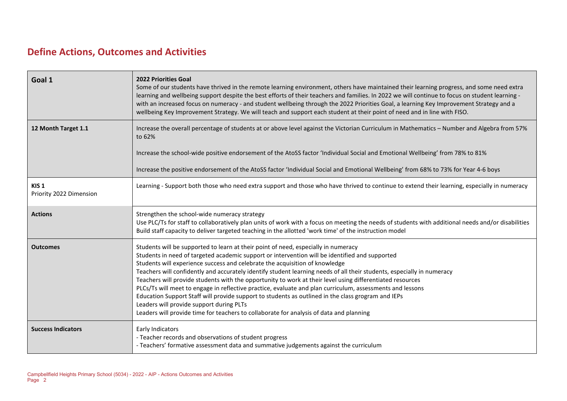# **Define Actions, Outcomes and Activities**

| Goal 1                                      | <b>2022 Priorities Goal</b><br>Some of our students have thrived in the remote learning environment, others have maintained their learning progress, and some need extra<br>learning and wellbeing support despite the best efforts of their teachers and families. In 2022 we will continue to focus on student learning -<br>with an increased focus on numeracy - and student wellbeing through the 2022 Priorities Goal, a learning Key Improvement Strategy and a<br>wellbeing Key Improvement Strategy. We will teach and support each student at their point of need and in line with FISO.                                                                                                                                                                                                                                                                   |
|---------------------------------------------|----------------------------------------------------------------------------------------------------------------------------------------------------------------------------------------------------------------------------------------------------------------------------------------------------------------------------------------------------------------------------------------------------------------------------------------------------------------------------------------------------------------------------------------------------------------------------------------------------------------------------------------------------------------------------------------------------------------------------------------------------------------------------------------------------------------------------------------------------------------------|
| 12 Month Target 1.1                         | Increase the overall percentage of students at or above level against the Victorian Curriculum in Mathematics - Number and Algebra from 57%<br>to 62%<br>Increase the school-wide positive endorsement of the AtoSS factor 'Individual Social and Emotional Wellbeing' from 78% to 81%                                                                                                                                                                                                                                                                                                                                                                                                                                                                                                                                                                               |
|                                             | Increase the positive endorsement of the AtoSS factor 'Individual Social and Emotional Wellbeing' from 68% to 73% for Year 4-6 boys                                                                                                                                                                                                                                                                                                                                                                                                                                                                                                                                                                                                                                                                                                                                  |
| KIS <sub>1</sub><br>Priority 2022 Dimension | Learning - Support both those who need extra support and those who have thrived to continue to extend their learning, especially in numeracy                                                                                                                                                                                                                                                                                                                                                                                                                                                                                                                                                                                                                                                                                                                         |
| <b>Actions</b>                              | Strengthen the school-wide numeracy strategy<br>Use PLC/Ts for staff to collaboratively plan units of work with a focus on meeting the needs of students with additional needs and/or disabilities<br>Build staff capacity to deliver targeted teaching in the allotted 'work time' of the instruction model                                                                                                                                                                                                                                                                                                                                                                                                                                                                                                                                                         |
| <b>Outcomes</b>                             | Students will be supported to learn at their point of need, especially in numeracy<br>Students in need of targeted academic support or intervention will be identified and supported<br>Students will experience success and celebrate the acquisition of knowledge<br>Teachers will confidently and accurately identify student learning needs of all their students, especially in numeracy<br>Teachers will provide students with the opportunity to work at their level using differentiated resources<br>PLCs/Ts will meet to engage in reflective practice, evaluate and plan curriculum, assessments and lessons<br>Education Support Staff will provide support to students as outlined in the class grogram and IEPs<br>Leaders will provide support during PLTs<br>Leaders will provide time for teachers to collaborate for analysis of data and planning |
| <b>Success Indicators</b>                   | Early Indicators<br>- Teacher records and observations of student progress<br>- Teachers' formative assessment data and summative judgements against the curriculum                                                                                                                                                                                                                                                                                                                                                                                                                                                                                                                                                                                                                                                                                                  |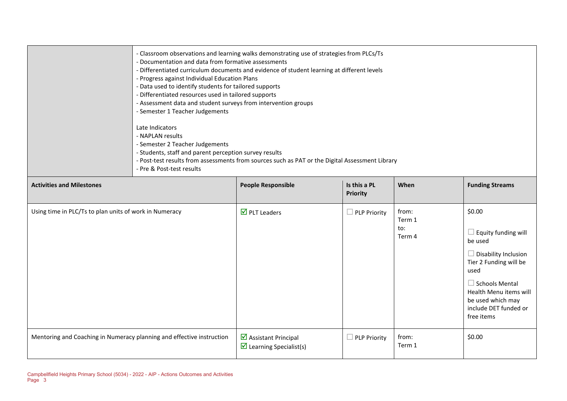|                                  | - Documentation and data from formative assessments<br>- Progress against Individual Education Plans<br>- Data used to identify students for tailored supports<br>- Differentiated resources used in tailored supports<br>- Assessment data and student surveys from intervention groups<br>- Semester 1 Teacher Judgements<br>Late Indicators<br>- NAPLAN results<br>- Semester 2 Teacher Judgements<br>- Students, staff and parent perception survey results<br>- Pre & Post-test results | - Classroom observations and learning walks demonstrating use of strategies from PLCs/Ts<br>- Differentiated curriculum documents and evidence of student learning at different levels<br>- Post-test results from assessments from sources such as PAT or the Digital Assessment Library |                                 |      |                        |
|----------------------------------|----------------------------------------------------------------------------------------------------------------------------------------------------------------------------------------------------------------------------------------------------------------------------------------------------------------------------------------------------------------------------------------------------------------------------------------------------------------------------------------------|-------------------------------------------------------------------------------------------------------------------------------------------------------------------------------------------------------------------------------------------------------------------------------------------|---------------------------------|------|------------------------|
| <b>Activities and Milestones</b> |                                                                                                                                                                                                                                                                                                                                                                                                                                                                                              | <b>People Responsible</b>                                                                                                                                                                                                                                                                 | Is this a PL<br><b>Priority</b> | When | <b>Funding Streams</b> |

|                                                                       |                                                                                 | <b>Priority</b>     |                                  |                                                                                                                                                                                                              |
|-----------------------------------------------------------------------|---------------------------------------------------------------------------------|---------------------|----------------------------------|--------------------------------------------------------------------------------------------------------------------------------------------------------------------------------------------------------------|
| Using time in PLC/Ts to plan units of work in Numeracy                | $\overline{\mathbf{M}}$ PLT Leaders                                             | $\Box$ PLP Priority | from:<br>Term 1<br>to:<br>Term 4 | \$0.00<br>Equity funding will<br>be used<br>Disability Inclusion<br>Tier 2 Funding will be<br>used<br>⊥ Schools Mental<br>Health Menu items will<br>be used which may<br>include DET funded or<br>free items |
| Mentoring and Coaching in Numeracy planning and effective instruction | $\triangleright$ Assistant Principal<br>$\triangleright$ Learning Specialist(s) | $\Box$ PLP Priority | from:<br>Term 1                  | \$0.00                                                                                                                                                                                                       |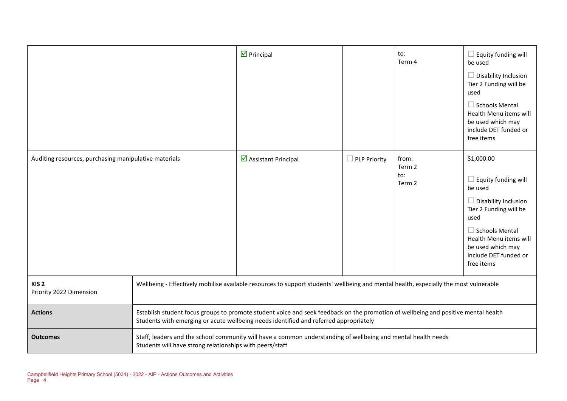|                                                       |                                                                                                                                                                                                                             | $\triangleright$ Principal                                                                                    |                     | to:<br>Term 4                    | $\Box$ Equity funding will<br>be used<br>$\Box$ Disability Inclusion<br>Tier 2 Funding will be<br>used<br>$\Box$ Schools Mental<br>Health Menu items will<br>be used which may<br>include DET funded or<br>free items               |
|-------------------------------------------------------|-----------------------------------------------------------------------------------------------------------------------------------------------------------------------------------------------------------------------------|---------------------------------------------------------------------------------------------------------------|---------------------|----------------------------------|-------------------------------------------------------------------------------------------------------------------------------------------------------------------------------------------------------------------------------------|
| Auditing resources, purchasing manipulative materials |                                                                                                                                                                                                                             | ☑ Assistant Principal                                                                                         | <b>PLP Priority</b> | from:<br>Term 2<br>to:<br>Term 2 | \$1,000.00<br>$\Box$ Equity funding will<br>be used<br>$\Box$ Disability Inclusion<br>Tier 2 Funding will be<br>used<br>$\Box$ Schools Mental<br>Health Menu items will<br>be used which may<br>include DET funded or<br>free items |
| KIS <sub>2</sub><br>Priority 2022 Dimension           | Wellbeing - Effectively mobilise available resources to support students' wellbeing and mental health, especially the most vulnerable                                                                                       |                                                                                                               |                     |                                  |                                                                                                                                                                                                                                     |
| <b>Actions</b>                                        | Establish student focus groups to promote student voice and seek feedback on the promotion of wellbeing and positive mental health<br>Students with emerging or acute wellbeing needs identified and referred appropriately |                                                                                                               |                     |                                  |                                                                                                                                                                                                                                     |
| <b>Outcomes</b>                                       | Students will have strong relationships with peers/staff                                                                                                                                                                    | Staff, leaders and the school community will have a common understanding of wellbeing and mental health needs |                     |                                  |                                                                                                                                                                                                                                     |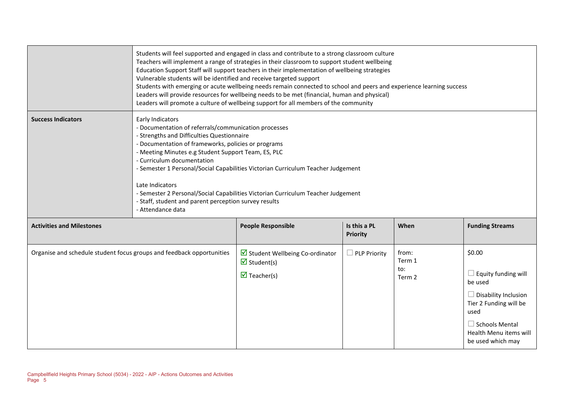| <b>Activities and Milestones</b> |                                                                                                                                                                                                                                                                                                                                                                                                                                                                                                                                                                                                                                                                                         | <b>People Responsible</b> | Is this a PL<br><b>Priority</b> | When | <b>Funding Streams</b> |
|----------------------------------|-----------------------------------------------------------------------------------------------------------------------------------------------------------------------------------------------------------------------------------------------------------------------------------------------------------------------------------------------------------------------------------------------------------------------------------------------------------------------------------------------------------------------------------------------------------------------------------------------------------------------------------------------------------------------------------------|---------------------------|---------------------------------|------|------------------------|
| <b>Success Indicators</b>        | Early Indicators<br>- Documentation of referrals/communication processes<br>- Strengths and Difficulties Questionnaire<br>- Documentation of frameworks, policies or programs<br>- Meeting Minutes e.g Student Support Team, ES, PLC<br>- Curriculum documentation<br>- Semester 1 Personal/Social Capabilities Victorian Curriculum Teacher Judgement<br>Late Indicators<br>- Semester 2 Personal/Social Capabilities Victorian Curriculum Teacher Judgement<br>- Staff, student and parent perception survey results<br>- Attendance data                                                                                                                                             |                           |                                 |      |                        |
|                                  | Students will feel supported and engaged in class and contribute to a strong classroom culture<br>Teachers will implement a range of strategies in their classroom to support student wellbeing<br>Education Support Staff will support teachers in their implementation of wellbeing strategies<br>Vulnerable students will be identified and receive targeted support<br>Students with emerging or acute wellbeing needs remain connected to school and peers and experience learning success<br>Leaders will provide resources for wellbeing needs to be met (financial, human and physical)<br>Leaders will promote a culture of wellbeing support for all members of the community |                           |                                 |      |                        |

|                                                                       |                                                                                                            | <b>PHOTICY</b>      |                                  |                                                                                                                                                                                   |
|-----------------------------------------------------------------------|------------------------------------------------------------------------------------------------------------|---------------------|----------------------------------|-----------------------------------------------------------------------------------------------------------------------------------------------------------------------------------|
| Organise and schedule student focus groups and feedback opportunities | Student Wellbeing Co-ordinator<br>$\overline{\mathbf{y}}$ Student(s)<br>$\overline{\mathbf{y}}$ Teacher(s) | $\Box$ PLP Priority | from:<br>Term 1<br>to:<br>Term 2 | \$0.00<br>$\Box$ Equity funding will<br>be used<br>Disability Inclusion<br>Tier 2 Funding will be<br>used<br>$\Box$ Schools Mental<br>Health Menu items will<br>be used which may |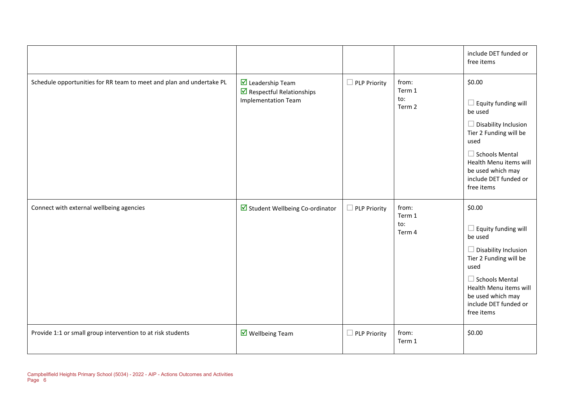|                                                                      |                                                                                                            |                          |                                  | include DET funded or<br>free items                                                                                                                                                                                             |
|----------------------------------------------------------------------|------------------------------------------------------------------------------------------------------------|--------------------------|----------------------------------|---------------------------------------------------------------------------------------------------------------------------------------------------------------------------------------------------------------------------------|
| Schedule opportunities for RR team to meet and plan and undertake PL | $\triangledown$ Leadership Team<br>$\triangleright$ Respectful Relationships<br><b>Implementation Team</b> | $\Box$ PLP Priority      | from:<br>Term 1<br>to:<br>Term 2 | \$0.00<br>$\Box$ Equity funding will<br>be used<br>$\Box$ Disability Inclusion<br>Tier 2 Funding will be<br>used<br>$\Box$ Schools Mental<br>Health Menu items will<br>be used which may<br>include DET funded or<br>free items |
| Connect with external wellbeing agencies                             | Student Wellbeing Co-ordinator                                                                             | <b>PLP Priority</b><br>□ | from:<br>Term 1<br>to:<br>Term 4 | \$0.00<br>$\Box$ Equity funding will<br>be used<br>$\Box$ Disability Inclusion<br>Tier 2 Funding will be<br>used<br>$\Box$ Schools Mental<br>Health Menu items will<br>be used which may<br>include DET funded or<br>free items |
| Provide 1:1 or small group intervention to at risk students          | $\overline{\mathbf{M}}$ Wellbeing Team                                                                     | $\Box$ PLP Priority      | from:<br>Term 1                  | \$0.00                                                                                                                                                                                                                          |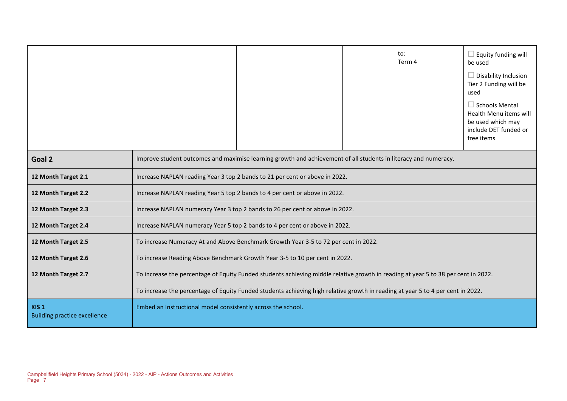|                                                         |                                                                                                                                    |                                                                                                                 |  | to:<br>Term 4 | $\Box$ Equity funding will<br>be used<br>$\Box$ Disability Inclusion<br>Tier 2 Funding will be<br>used<br>$\Box$ Schools Mental<br>Health Menu items will<br>be used which may<br>include DET funded or<br>free items |
|---------------------------------------------------------|------------------------------------------------------------------------------------------------------------------------------------|-----------------------------------------------------------------------------------------------------------------|--|---------------|-----------------------------------------------------------------------------------------------------------------------------------------------------------------------------------------------------------------------|
| Goal 2                                                  |                                                                                                                                    | Improve student outcomes and maximise learning growth and achievement of all students in literacy and numeracy. |  |               |                                                                                                                                                                                                                       |
| 12 Month Target 2.1                                     |                                                                                                                                    | Increase NAPLAN reading Year 3 top 2 bands to 21 per cent or above in 2022.                                     |  |               |                                                                                                                                                                                                                       |
| 12 Month Target 2.2                                     | Increase NAPLAN reading Year 5 top 2 bands to 4 per cent or above in 2022.                                                         |                                                                                                                 |  |               |                                                                                                                                                                                                                       |
| 12 Month Target 2.3                                     | Increase NAPLAN numeracy Year 3 top 2 bands to 26 per cent or above in 2022.                                                       |                                                                                                                 |  |               |                                                                                                                                                                                                                       |
| 12 Month Target 2.4                                     | Increase NAPLAN numeracy Year 5 top 2 bands to 4 per cent or above in 2022.                                                        |                                                                                                                 |  |               |                                                                                                                                                                                                                       |
| 12 Month Target 2.5                                     | To increase Numeracy At and Above Benchmark Growth Year 3-5 to 72 per cent in 2022.                                                |                                                                                                                 |  |               |                                                                                                                                                                                                                       |
| 12 Month Target 2.6                                     | To increase Reading Above Benchmark Growth Year 3-5 to 10 per cent in 2022.                                                        |                                                                                                                 |  |               |                                                                                                                                                                                                                       |
| 12 Month Target 2.7                                     | To increase the percentage of Equity Funded students achieving middle relative growth in reading at year 5 to 38 per cent in 2022. |                                                                                                                 |  |               |                                                                                                                                                                                                                       |
|                                                         | To increase the percentage of Equity Funded students achieving high relative growth in reading at year 5 to 4 per cent in 2022.    |                                                                                                                 |  |               |                                                                                                                                                                                                                       |
| KIS <sub>1</sub><br><b>Building practice excellence</b> | Embed an Instructional model consistently across the school.                                                                       |                                                                                                                 |  |               |                                                                                                                                                                                                                       |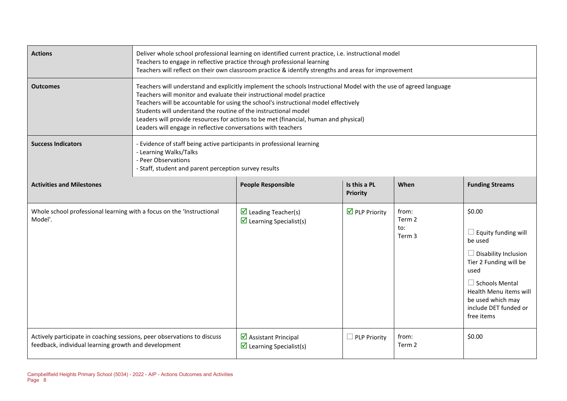| <b>Actions</b>                                                                                                                  | Deliver whole school professional learning on identified current practice, i.e. instructional model<br>Teachers to engage in reflective practice through professional learning<br>Teachers will reflect on their own classroom practice & identify strengths and areas for improvement                                                                                                                                                                                                                        |                                                                                |                                 |                                  |                                                                                                                                                                                                                                 |  |
|---------------------------------------------------------------------------------------------------------------------------------|---------------------------------------------------------------------------------------------------------------------------------------------------------------------------------------------------------------------------------------------------------------------------------------------------------------------------------------------------------------------------------------------------------------------------------------------------------------------------------------------------------------|--------------------------------------------------------------------------------|---------------------------------|----------------------------------|---------------------------------------------------------------------------------------------------------------------------------------------------------------------------------------------------------------------------------|--|
| <b>Outcomes</b>                                                                                                                 | Teachers will understand and explicitly implement the schools Instructional Model with the use of agreed language<br>Teachers will monitor and evaluate their instructional model practice<br>Teachers will be accountable for using the school's instructional model effectively<br>Students will understand the routine of the instructional model<br>Leaders will provide resources for actions to be met (financial, human and physical)<br>Leaders will engage in reflective conversations with teachers |                                                                                |                                 |                                  |                                                                                                                                                                                                                                 |  |
| <b>Success Indicators</b>                                                                                                       | - Evidence of staff being active participants in professional learning<br>- Learning Walks/Talks<br>- Peer Observations<br>- Staff, student and parent perception survey results                                                                                                                                                                                                                                                                                                                              |                                                                                |                                 |                                  |                                                                                                                                                                                                                                 |  |
| <b>Activities and Milestones</b>                                                                                                |                                                                                                                                                                                                                                                                                                                                                                                                                                                                                                               | <b>People Responsible</b>                                                      | Is this a PL<br><b>Priority</b> | When                             | <b>Funding Streams</b>                                                                                                                                                                                                          |  |
| Whole school professional learning with a focus on the 'Instructional<br>Model'.                                                |                                                                                                                                                                                                                                                                                                                                                                                                                                                                                                               | $\triangleright$ Leading Teacher(s)<br>$\triangleright$ Learning Specialist(s) | $\triangledown$ PLP Priority    | from:<br>Term 2<br>to:<br>Term 3 | \$0.00<br>$\Box$ Equity funding will<br>be used<br>$\Box$ Disability Inclusion<br>Tier 2 Funding will be<br>used<br>$\Box$ Schools Mental<br>Health Menu items will<br>be used which may<br>include DET funded or<br>free items |  |
| Actively participate in coaching sessions, peer observations to discuss<br>feedback, individual learning growth and development |                                                                                                                                                                                                                                                                                                                                                                                                                                                                                                               | ☑ Assistant Principal<br>$\triangledown$ Learning Specialist(s)                | $\Box$ PLP Priority             | from:<br>Term 2                  | \$0.00                                                                                                                                                                                                                          |  |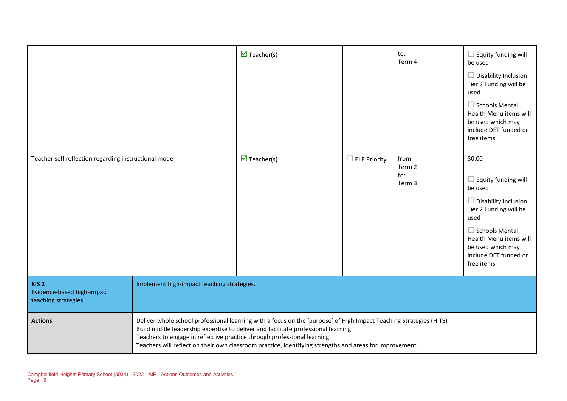|                                                                       |                                                                                                                                                                                                                                                                                                                                                                                              | $\overline{\mathbf{M}}$ Teacher(s) |                     | to:<br>Term 4                    | $\Box$ Equity funding will<br>be used<br>$\Box$ Disability Inclusion<br>Tier 2 Funding will be<br>used<br>$\Box$ Schools Mental<br>Health Menu items will<br>be used which may<br>include DET funded or<br>free items           |
|-----------------------------------------------------------------------|----------------------------------------------------------------------------------------------------------------------------------------------------------------------------------------------------------------------------------------------------------------------------------------------------------------------------------------------------------------------------------------------|------------------------------------|---------------------|----------------------------------|---------------------------------------------------------------------------------------------------------------------------------------------------------------------------------------------------------------------------------|
| Teacher self reflection regarding instructional model                 |                                                                                                                                                                                                                                                                                                                                                                                              | $\overline{\mathbf{M}}$ Teacher(s) | $\Box$ PLP Priority | from:<br>Term 2<br>to:<br>Term 3 | \$0.00<br>$\Box$ Equity funding will<br>be used<br>$\Box$ Disability Inclusion<br>Tier 2 Funding will be<br>used<br>$\Box$ Schools Mental<br>Health Menu items will<br>be used which may<br>include DET funded or<br>free items |
| KIS <sub>2</sub><br>Evidence-based high-impact<br>teaching strategies | Implement high-impact teaching strategies.                                                                                                                                                                                                                                                                                                                                                   |                                    |                     |                                  |                                                                                                                                                                                                                                 |
| <b>Actions</b>                                                        | Deliver whole school professional learning with a focus on the 'purpose' of High Impact Teaching Strategies (HITS)<br>Build middle leadership expertise to deliver and facilitate professional learning<br>Teachers to engage in reflective practice through professional learning<br>Teachers will reflect on their own classroom practice, identifying strengths and areas for improvement |                                    |                     |                                  |                                                                                                                                                                                                                                 |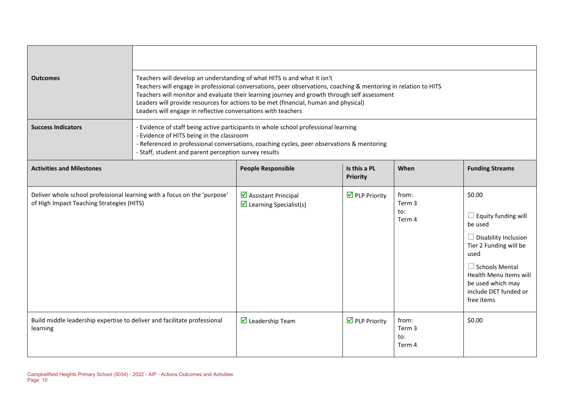| <b>Outcomes</b>                                                                                                       | Teachers will develop an understanding of what HITS is and what it isn't<br>Teachers will engage in professional conversations, peer observations, coaching & mentoring in relation to HITS<br>Teachers will monitor and evaluate their learning journey and growth through self assessment<br>Leaders will provide resources for actions to be met (financial, human and physical)<br>Leaders will engage in reflective conversations with teachers |                                                                  |                                      |                                  |                                                                                                                                                                                                                                 |
|-----------------------------------------------------------------------------------------------------------------------|------------------------------------------------------------------------------------------------------------------------------------------------------------------------------------------------------------------------------------------------------------------------------------------------------------------------------------------------------------------------------------------------------------------------------------------------------|------------------------------------------------------------------|--------------------------------------|----------------------------------|---------------------------------------------------------------------------------------------------------------------------------------------------------------------------------------------------------------------------------|
| <b>Success Indicators</b>                                                                                             | - Evidence of staff being active participants in whole school professional learning<br>- Evidence of HITS being in the classroom<br>- Referenced in professional conversations, coaching cycles, peer observations & mentoring<br>- Staff, student and parent perception survey results                                                                                                                                                              |                                                                  |                                      |                                  |                                                                                                                                                                                                                                 |
| <b>Activities and Milestones</b>                                                                                      |                                                                                                                                                                                                                                                                                                                                                                                                                                                      | <b>People Responsible</b>                                        | Is this a PL<br><b>Priority</b>      | When                             | <b>Funding Streams</b>                                                                                                                                                                                                          |
| Deliver whole school professional learning with a focus on the 'purpose'<br>of High Impact Teaching Strategies (HITS) |                                                                                                                                                                                                                                                                                                                                                                                                                                                      | Ø Assistant Principal<br>$\triangleright$ Learning Specialist(s) | $\overline{\mathbf{y}}$ PLP Priority | from:<br>Term 3<br>to:<br>Term 4 | \$0.00<br>$\Box$ Equity funding will<br>be used<br>$\Box$ Disability Inclusion<br>Tier 2 Funding will be<br>used<br>$\Box$ Schools Mental<br>Health Menu items will<br>be used which may<br>include DET funded or<br>free items |
| Build middle leadership expertise to deliver and facilitate professional<br>learning                                  |                                                                                                                                                                                                                                                                                                                                                                                                                                                      | $\triangledown$ Leadership Team                                  | $\triangledown$ PLP Priority         | from:<br>Term 3<br>to:<br>Term 4 | \$0.00                                                                                                                                                                                                                          |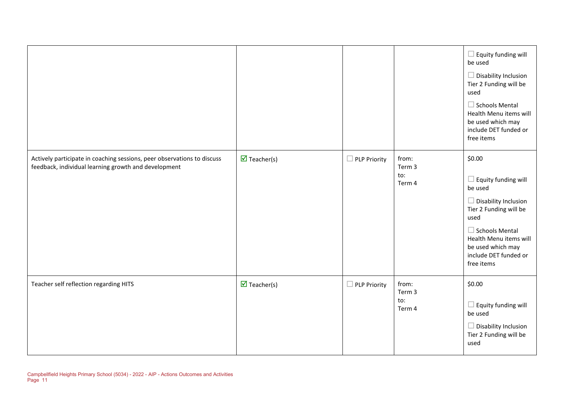|                                                                                                                                 |                                    |                               |                                  | $\Box$ Equity funding will<br>be used<br>$\Box$ Disability Inclusion<br>Tier 2 Funding will be<br>used<br>$\Box$ Schools Mental<br>Health Menu items will<br>be used which may<br>include DET funded or<br>free items              |
|---------------------------------------------------------------------------------------------------------------------------------|------------------------------------|-------------------------------|----------------------------------|------------------------------------------------------------------------------------------------------------------------------------------------------------------------------------------------------------------------------------|
| Actively participate in coaching sessions, peer observations to discuss<br>feedback, individual learning growth and development | $\overline{\mathbf{M}}$ Teacher(s) | <b>PLP Priority</b>           | from:<br>Term 3<br>to:<br>Term 4 | \$0.00<br>$\square$ Equity funding will<br>be used<br>$\Box$ Disability Inclusion<br>Tier 2 Funding will be<br>used<br>$\Box$ Schools Mental<br>Health Menu items will<br>be used which may<br>include DET funded or<br>free items |
| Teacher self reflection regarding HITS                                                                                          | $\overline{\mathbf{M}}$ Teacher(s) | <b>PLP Priority</b><br>$\Box$ | from:<br>Term 3<br>to:<br>Term 4 | \$0.00<br>$\square$ Equity funding will<br>be used<br>$\Box$ Disability Inclusion<br>Tier 2 Funding will be<br>used                                                                                                                |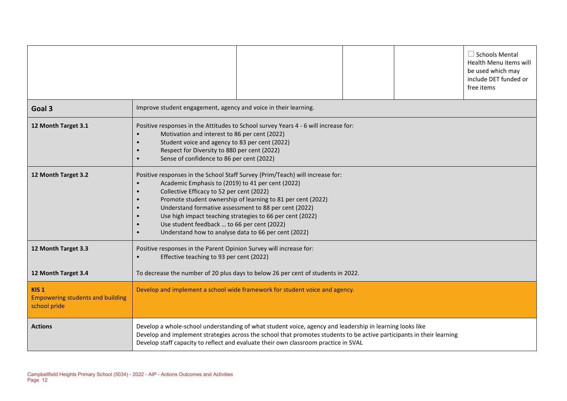|                                                                             | $\Box$ Schools Mental<br>Health Menu items will<br>be used which may<br>include DET funded or<br>free items                                                                                                                                                                                                                                                                                                                                                                                           |  |  |  |  |
|-----------------------------------------------------------------------------|-------------------------------------------------------------------------------------------------------------------------------------------------------------------------------------------------------------------------------------------------------------------------------------------------------------------------------------------------------------------------------------------------------------------------------------------------------------------------------------------------------|--|--|--|--|
| Goal 3                                                                      | Improve student engagement, agency and voice in their learning.                                                                                                                                                                                                                                                                                                                                                                                                                                       |  |  |  |  |
| 12 Month Target 3.1                                                         | Positive responses in the Attitudes to School survey Years 4 - 6 will increase for:<br>Motivation and interest to 86 per cent (2022)<br>Student voice and agency to 83 per cent (2022)<br>$\bullet$<br>Respect for Diversity to 880 per cent (2022)<br>Sense of confidence to 86 per cent (2022)<br>$\bullet$                                                                                                                                                                                         |  |  |  |  |
| 12 Month Target 3.2                                                         | Positive responses in the School Staff Survey (Prim/Teach) will increase for:<br>Academic Emphasis to (2019) to 41 per cent (2022)<br>Collective Efficacy to 52 per cent (2022)<br>$\bullet$<br>Promote student ownership of learning to 81 per cent (2022)<br>Understand formative assessment to 88 per cent (2022)<br>Use high impact teaching strategies to 66 per cent (2022)<br>Use student feedback  to 66 per cent (2022)<br>Understand how to analyse data to 66 per cent (2022)<br>$\bullet$ |  |  |  |  |
| 12 Month Target 3.3                                                         | Positive responses in the Parent Opinion Survey will increase for:<br>Effective teaching to 93 per cent (2022)<br>$\bullet$                                                                                                                                                                                                                                                                                                                                                                           |  |  |  |  |
| 12 Month Target 3.4                                                         | To decrease the number of 20 plus days to below 26 per cent of students in 2022.                                                                                                                                                                                                                                                                                                                                                                                                                      |  |  |  |  |
| KIS <sub>1</sub><br><b>Empowering students and building</b><br>school pride | Develop and implement a school wide framework for student voice and agency.                                                                                                                                                                                                                                                                                                                                                                                                                           |  |  |  |  |
| <b>Actions</b>                                                              | Develop a whole-school understanding of what student voice, agency and leadership in learning looks like<br>Develop and implement strategies across the school that promotes students to be active participants in their learning<br>Develop staff capacity to reflect and evaluate their own classroom practice in SVAL                                                                                                                                                                              |  |  |  |  |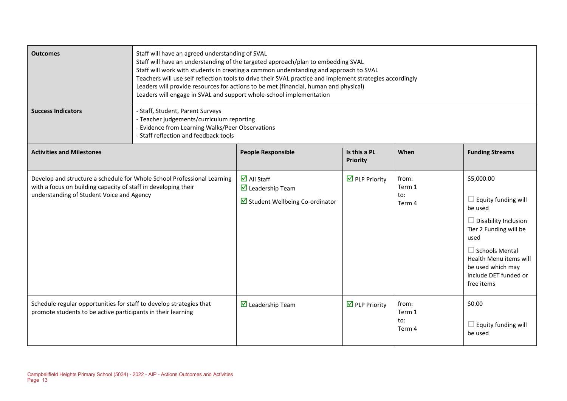| <b>Outcomes</b>                                                                                                                     | Staff will have an agreed understanding of SVAL<br>Staff will have an understanding of the targeted approach/plan to embedding SVAL<br>Staff will work with students in creating a common understanding and approach to SVAL<br>Teachers will use self reflection tools to drive their SVAL practice and implement strategies accordingly<br>Leaders will provide resources for actions to be met (financial, human and physical)<br>Leaders will engage in SVAL and support whole-school implementation |                                                                                                         |                                      |                                  |                                                                                                                                                                                                                                     |
|-------------------------------------------------------------------------------------------------------------------------------------|----------------------------------------------------------------------------------------------------------------------------------------------------------------------------------------------------------------------------------------------------------------------------------------------------------------------------------------------------------------------------------------------------------------------------------------------------------------------------------------------------------|---------------------------------------------------------------------------------------------------------|--------------------------------------|----------------------------------|-------------------------------------------------------------------------------------------------------------------------------------------------------------------------------------------------------------------------------------|
| <b>Success Indicators</b>                                                                                                           | - Staff, Student, Parent Surveys<br>- Teacher judgements/curriculum reporting<br>- Evidence from Learning Walks/Peer Observations<br>- Staff reflection and feedback tools                                                                                                                                                                                                                                                                                                                               |                                                                                                         |                                      |                                  |                                                                                                                                                                                                                                     |
| <b>Activities and Milestones</b>                                                                                                    |                                                                                                                                                                                                                                                                                                                                                                                                                                                                                                          | <b>People Responsible</b>                                                                               | Is this a PL<br>Priority             | When                             | <b>Funding Streams</b>                                                                                                                                                                                                              |
| with a focus on building capacity of staff in developing their<br>understanding of Student Voice and Agency                         | Develop and structure a schedule for Whole School Professional Learning                                                                                                                                                                                                                                                                                                                                                                                                                                  | $\overline{\mathbf{M}}$ All Staff<br>$\triangleright$ Leadership Team<br>Student Wellbeing Co-ordinator | $\overline{\mathbf{M}}$ PLP Priority | from:<br>Term 1<br>to:<br>Term 4 | \$5,000.00<br>$\Box$ Equity funding will<br>be used<br>$\Box$ Disability Inclusion<br>Tier 2 Funding will be<br>used<br>$\Box$ Schools Mental<br>Health Menu items will<br>be used which may<br>include DET funded or<br>free items |
| Schedule regular opportunities for staff to develop strategies that<br>promote students to be active participants in their learning |                                                                                                                                                                                                                                                                                                                                                                                                                                                                                                          | $\triangledown$ Leadership Team                                                                         | $\overline{\mathbf{M}}$ PLP Priority | from:<br>Term 1<br>to:<br>Term 4 | \$0.00<br>$\Box$ Equity funding will<br>be used                                                                                                                                                                                     |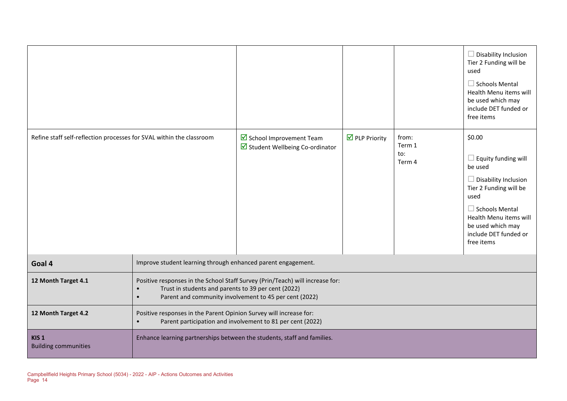|                                                                      |                                                                                                                                                                                                                          |                                                            |                                      |                                  | $\Box$ Disability Inclusion<br>Tier 2 Funding will be<br>used<br>$\Box$ Schools Mental<br>Health Menu items will<br>be used which may<br>include DET funded or<br>free items                                                    |
|----------------------------------------------------------------------|--------------------------------------------------------------------------------------------------------------------------------------------------------------------------------------------------------------------------|------------------------------------------------------------|--------------------------------------|----------------------------------|---------------------------------------------------------------------------------------------------------------------------------------------------------------------------------------------------------------------------------|
| Refine staff self-reflection processes for SVAL within the classroom |                                                                                                                                                                                                                          | School Improvement Team<br>Student Wellbeing Co-ordinator  | $\overline{\mathbf{M}}$ PLP Priority | from:<br>Term 1<br>to:<br>Term 4 | \$0.00<br>$\Box$ Equity funding will<br>be used<br>$\Box$ Disability Inclusion<br>Tier 2 Funding will be<br>used<br>$\Box$ Schools Mental<br>Health Menu items will<br>be used which may<br>include DET funded or<br>free items |
| Goal 4                                                               | Improve student learning through enhanced parent engagement.                                                                                                                                                             |                                                            |                                      |                                  |                                                                                                                                                                                                                                 |
| 12 Month Target 4.1                                                  | Positive responses in the School Staff Survey (Prin/Teach) will increase for:<br>Trust in students and parents to 39 per cent (2022)<br>$\bullet$<br>Parent and community involvement to 45 per cent (2022)<br>$\bullet$ |                                                            |                                      |                                  |                                                                                                                                                                                                                                 |
| 12 Month Target 4.2                                                  | Positive responses in the Parent Opinion Survey will increase for:<br>$\bullet$                                                                                                                                          | Parent participation and involvement to 81 per cent (2022) |                                      |                                  |                                                                                                                                                                                                                                 |
| KIS <sub>1</sub><br><b>Building communities</b>                      | Enhance learning partnerships between the students, staff and families.                                                                                                                                                  |                                                            |                                      |                                  |                                                                                                                                                                                                                                 |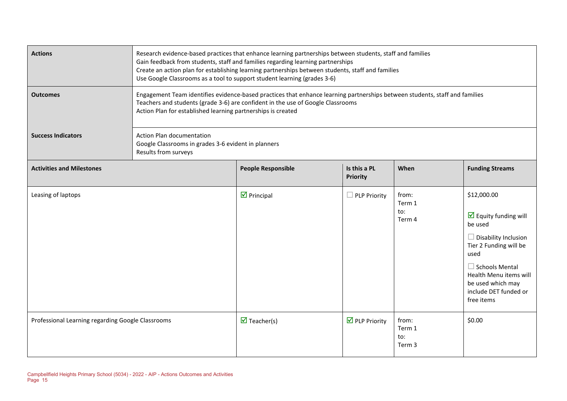| <b>Actions</b>                                    | Research evidence-based practices that enhance learning partnerships between students, staff and families<br>Gain feedback from students, staff and families regarding learning partnerships<br>Create an action plan for establishing learning partnerships between students, staff and families<br>Use Google Classrooms as a tool to support student learning (grades 3-6) |                                                                                                                                                                                                                                                                                |                                      |                                  |                                                                                                                                                                                                                                                |  |  |
|---------------------------------------------------|-------------------------------------------------------------------------------------------------------------------------------------------------------------------------------------------------------------------------------------------------------------------------------------------------------------------------------------------------------------------------------|--------------------------------------------------------------------------------------------------------------------------------------------------------------------------------------------------------------------------------------------------------------------------------|--------------------------------------|----------------------------------|------------------------------------------------------------------------------------------------------------------------------------------------------------------------------------------------------------------------------------------------|--|--|
| <b>Outcomes</b>                                   |                                                                                                                                                                                                                                                                                                                                                                               | Engagement Team identifies evidence-based practices that enhance learning partnerships between students, staff and families<br>Teachers and students (grade 3-6) are confident in the use of Google Classrooms<br>Action Plan for established learning partnerships is created |                                      |                                  |                                                                                                                                                                                                                                                |  |  |
| <b>Success Indicators</b>                         | Action Plan documentation<br>Google Classrooms in grades 3-6 evident in planners<br>Results from surveys                                                                                                                                                                                                                                                                      |                                                                                                                                                                                                                                                                                |                                      |                                  |                                                                                                                                                                                                                                                |  |  |
| <b>Activities and Milestones</b>                  |                                                                                                                                                                                                                                                                                                                                                                               | <b>People Responsible</b>                                                                                                                                                                                                                                                      | Is this a PL<br>Priority             | When                             | <b>Funding Streams</b>                                                                                                                                                                                                                         |  |  |
| Leasing of laptops                                |                                                                                                                                                                                                                                                                                                                                                                               | $\overline{\mathbf{y}}$ Principal                                                                                                                                                                                                                                              | $\Box$ PLP Priority                  | from:<br>Term 1<br>to:<br>Term 4 | \$12,000.00<br>$\overline{\mathbf{y}}$ Equity funding will<br>be used<br>Disability Inclusion<br>Tier 2 Funding will be<br>used<br>$\Box$ Schools Mental<br>Health Menu items will<br>be used which may<br>include DET funded or<br>free items |  |  |
| Professional Learning regarding Google Classrooms |                                                                                                                                                                                                                                                                                                                                                                               | $\overline{\mathbf{M}}$ Teacher(s)                                                                                                                                                                                                                                             | $\overline{\mathbf{M}}$ PLP Priority | from:<br>Term 1<br>to:<br>Term 3 | \$0.00                                                                                                                                                                                                                                         |  |  |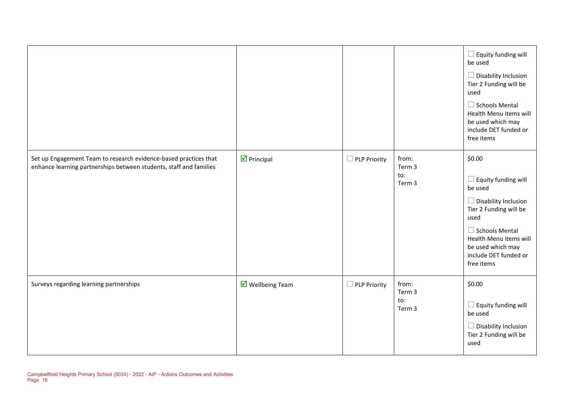|                                                                                                                                        |                                        |                          |                                  | $\Box$ Equity funding will<br>be used<br>$\Box$ Disability Inclusion<br>Tier 2 Funding will be<br>used<br>$\Box$ Schools Mental<br>Health Menu items will<br>be used which may<br>include DET funded or<br>free items           |
|----------------------------------------------------------------------------------------------------------------------------------------|----------------------------------------|--------------------------|----------------------------------|---------------------------------------------------------------------------------------------------------------------------------------------------------------------------------------------------------------------------------|
| Set up Engagement Team to research evidence-based practices that<br>enhance learning partnerships between students, staff and families | $\triangleright$ Principal             | <b>PLP Priority</b><br>ப | from:<br>Term 3<br>to:<br>Term 3 | \$0.00<br>$\Box$ Equity funding will<br>be used<br>$\Box$ Disability Inclusion<br>Tier 2 Funding will be<br>used<br>$\Box$ Schools Mental<br>Health Menu items will<br>be used which may<br>include DET funded or<br>free items |
| Surveys regarding learning partnerships                                                                                                | $\overline{\mathbf{M}}$ Wellbeing Team | <b>PLP Priority</b>      | from:<br>Term 3<br>to:<br>Term 3 | \$0.00<br>$\square$ Equity funding will<br>be used<br>$\Box$ Disability Inclusion<br>Tier 2 Funding will be<br>used                                                                                                             |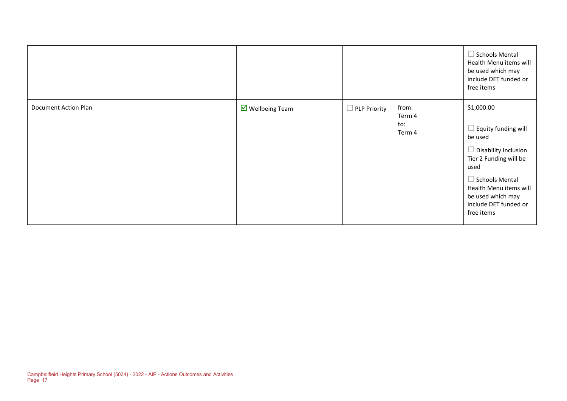|                      |                                |                     |                                  | $\Box$ Schools Mental<br>Health Menu items will<br>be used which may<br>include DET funded or<br>free items                                                                                                                         |
|----------------------|--------------------------------|---------------------|----------------------------------|-------------------------------------------------------------------------------------------------------------------------------------------------------------------------------------------------------------------------------------|
| Document Action Plan | $\triangledown$ Wellbeing Team | $\Box$ PLP Priority | from:<br>Term 4<br>to:<br>Term 4 | \$1,000.00<br>$\Box$ Equity funding will<br>be used<br>$\Box$ Disability Inclusion<br>Tier 2 Funding will be<br>used<br>$\Box$ Schools Mental<br>Health Menu items will<br>be used which may<br>include DET funded or<br>free items |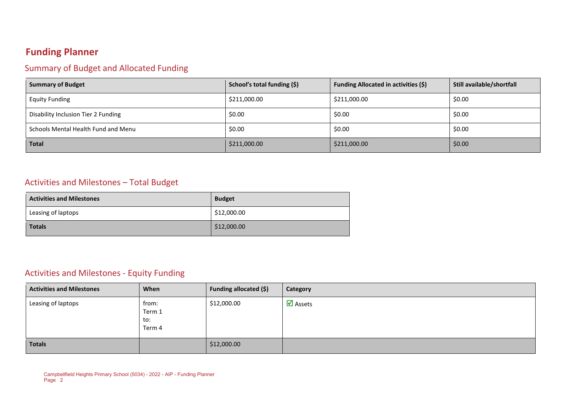### **Funding Planner**

### Summary of Budget and Allocated Funding

| <b>Summary of Budget</b>            | School's total funding (\$) | <b>Funding Allocated in activities (\$)</b> | Still available/shortfall |
|-------------------------------------|-----------------------------|---------------------------------------------|---------------------------|
| <b>Equity Funding</b>               | \$211,000.00                | \$211,000.00                                | \$0.00                    |
| Disability Inclusion Tier 2 Funding | \$0.00                      | \$0.00                                      | \$0.00                    |
| Schools Mental Health Fund and Menu | \$0.00                      | \$0.00                                      | \$0.00                    |
| <b>Total</b>                        | \$211,000.00                | \$211,000.00                                | \$0.00                    |

#### Activities and Milestones – Total Budget

| <b>Activities and Milestones</b> | <b>Budget</b> |
|----------------------------------|---------------|
| Leasing of laptops               | \$12,000.00   |
| <b>Totals</b>                    | \$12,000.00   |

### Activities and Milestones - Equity Funding

| <b>Activities and Milestones</b> | When                             | Funding allocated (\$) | <b>Category</b>                |
|----------------------------------|----------------------------------|------------------------|--------------------------------|
| Leasing of laptops               | from:<br>Term 1<br>to:<br>Term 4 | \$12,000.00            | $\overline{\mathbf{M}}$ Assets |
| <b>Totals</b>                    |                                  | \$12,000.00            |                                |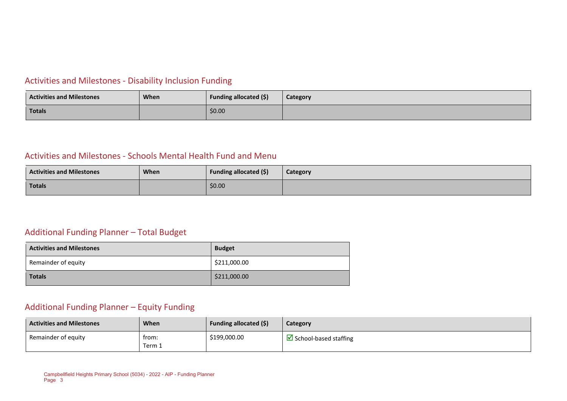### Activities and Milestones - Disability Inclusion Funding

| <b>Activities and Milestones</b> | When | Funding allocated (\$) | Category |
|----------------------------------|------|------------------------|----------|
| Totals                           |      | \$0.00                 |          |

#### Activities and Milestones - Schools Mental Health Fund and Menu

| <b>Activities and Milestones</b> | <b>When</b> | Funding allocated (\$) | Category |
|----------------------------------|-------------|------------------------|----------|
| Totals                           |             | \$0.00                 |          |

### Additional Funding Planner – Total Budget

| <b>Activities and Milestones</b> | <b>Budget</b> |  |
|----------------------------------|---------------|--|
| Remainder of equity              | \$211,000.00  |  |
| <b>Totals</b>                    | \$211,000.00  |  |

#### Additional Funding Planner – Equity Funding

| <b>Activities and Milestones</b> | <b>When</b>     | <b>Funding allocated (\$)</b> | Category                     |
|----------------------------------|-----------------|-------------------------------|------------------------------|
| Remainder of equity              | from:<br>Term 1 | \$199,000.00                  | $\Box$ School-based staffing |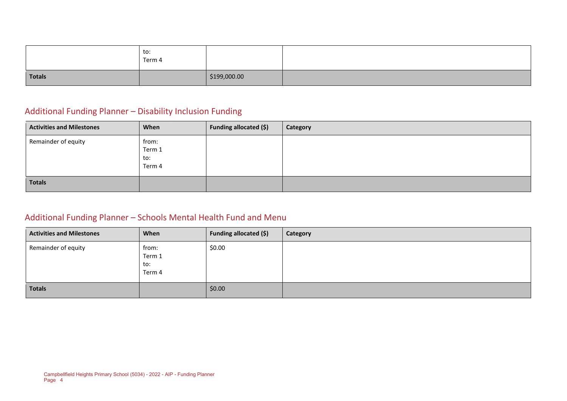|               | to:<br>Term 4 |              |  |
|---------------|---------------|--------------|--|
| <b>Totals</b> |               | \$199,000.00 |  |

### Additional Funding Planner – Disability Inclusion Funding

| <b>Activities and Milestones</b> | When                             | Funding allocated (\$) | Category |
|----------------------------------|----------------------------------|------------------------|----------|
| Remainder of equity              | from:<br>Term 1<br>to:<br>Term 4 |                        |          |
| <b>Totals</b>                    |                                  |                        |          |

### Additional Funding Planner – Schools Mental Health Fund and Menu

| <b>Activities and Milestones</b> | When                             | Funding allocated (\$) | Category |
|----------------------------------|----------------------------------|------------------------|----------|
| Remainder of equity              | from:<br>Term 1<br>to:<br>Term 4 | \$0.00                 |          |
| <b>Totals</b>                    |                                  | \$0.00                 |          |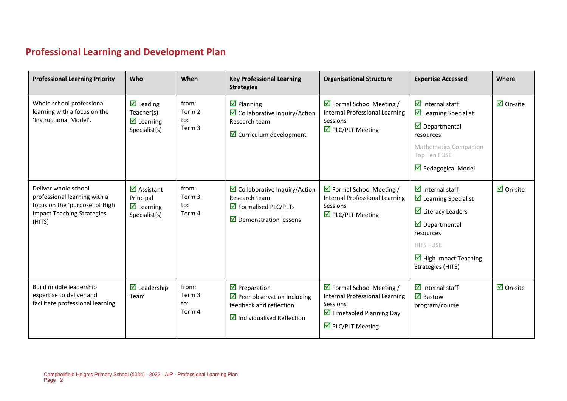# **Professional Learning and Development Plan**

 $\sim$ 

| <b>Professional Learning Priority</b>                                                                                                 | Who                                                                                                 | When                             | <b>Key Professional Learning</b><br><b>Strategies</b>                                                                                             | <b>Organisational Structure</b>                                                                                                                                       | <b>Expertise Accessed</b>                                                                                                                                                                                                                                       | Where                           |
|---------------------------------------------------------------------------------------------------------------------------------------|-----------------------------------------------------------------------------------------------------|----------------------------------|---------------------------------------------------------------------------------------------------------------------------------------------------|-----------------------------------------------------------------------------------------------------------------------------------------------------------------------|-----------------------------------------------------------------------------------------------------------------------------------------------------------------------------------------------------------------------------------------------------------------|---------------------------------|
| Whole school professional<br>learning with a focus on the<br>'Instructional Model'.                                                   | $\triangledown$ Leading<br>Teacher(s)<br>$\overline{\mathbf{M}}$ Learning<br>Specialist(s)          | from:<br>Term 2<br>to:<br>Term 3 | $\triangledown$ Planning<br>$\boxtimes$ Collaborative Inquiry/Action<br>Research team<br>$\triangleright$ Curriculum development                  | $\triangleright$ Formal School Meeting /<br>Internal Professional Learning<br>Sessions<br>$\overline{\mathbf{M}}$ PLC/PLT Meeting                                     | $\overline{\mathbf{M}}$ Internal staff<br>$\triangleright$ Learning Specialist<br>$\overline{\mathbf{y}}$ Departmental<br>resources<br><b>Mathematics Companion</b><br>Top Ten FUSE<br>$\triangledown$ Pedagogical Model                                        | $\overline{\mathbf{M}}$ On-site |
| Deliver whole school<br>professional learning with a<br>focus on the 'purpose' of High<br><b>Impact Teaching Strategies</b><br>(HITS) | $\overline{\mathbf{z}}$ Assistant<br>Principal<br>$\overline{\mathbf{M}}$ Learning<br>Specialist(s) | from:<br>Term 3<br>to:<br>Term 4 | $\triangleright$ Collaborative Inquiry/Action<br>Research team<br>$\triangleright$ Formalised PLC/PLTs<br>$\triangledown$ Demonstration lessons   | $\triangleright$ Formal School Meeting /<br>Internal Professional Learning<br>Sessions<br>$\overline{\mathbf{M}}$ PLC/PLT Meeting                                     | $\overline{\mathbf{2}}$ Internal staff<br>$\blacksquare$ Learning Specialist<br>$\overline{\mathbf{y}}$ Literacy Leaders<br>$\overline{\mathbf{y}}$ Departmental<br>resources<br><b>HITS FUSE</b><br>$\triangleright$ High Impact Teaching<br>Strategies (HITS) | $\overline{\mathbf{M}}$ On-site |
| Build middle leadership<br>expertise to deliver and<br>facilitate professional learning                                               | $\triangledown$ Leadership<br>Team                                                                  | from:<br>Term 3<br>to:<br>Term 4 | $\triangledown$ Preparation<br>$\triangleright$ Peer observation including<br>feedback and reflection<br>$\blacksquare$ Individualised Reflection | $\triangledown$ Formal School Meeting /<br>Internal Professional Learning<br>Sessions<br>$\triangleright$ Timetabled Planning Day<br>$\triangleright$ PLC/PLT Meeting | $\overline{\mathbf{M}}$ Internal staff<br>$\overline{\mathbf{M}}$ Bastow<br>program/course                                                                                                                                                                      | $\overline{\mathbf{z}}$ On-site |